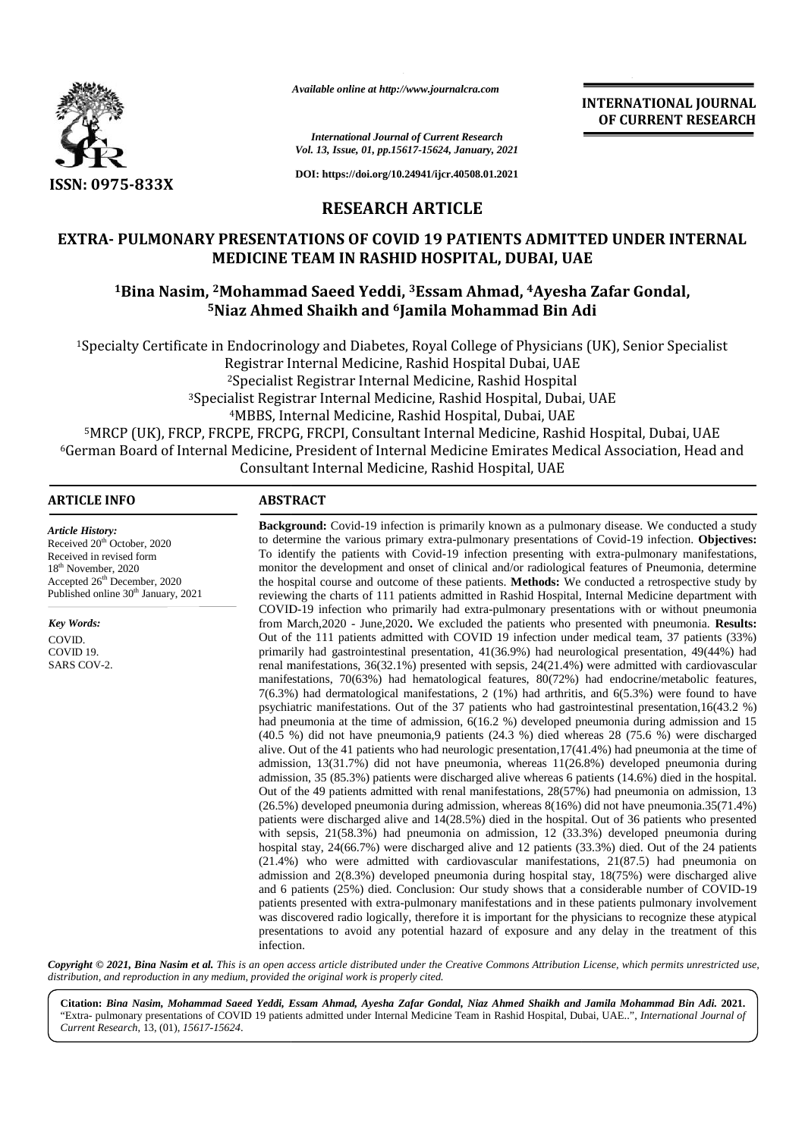

*Available online at http://www.journalcra.com*

**INTERNATIONAL JOURNAL OF CURRENT RESEARCH**

*International Journal of Current Research Vol. 13, Issue, 01, pp.15617-15624, January, 2021*

**DOI: https://doi.org/10.24941/ijcr.40508.01.2021**

## **RESEARCH ARTICLE**

## **EXTRA- PULMONARY PRESENTATIONS OF COVID 19 PATIENTS ADMITTED UNDER INTERNAL EXTRA-PULMONARY PRESENTATIONS PATIENTS UAEMEDICINE TEAM IN RASHID HOSPITAL, DUBAI, UAE**

# **<sup>1</sup>Bina Nasim, <sup>2</sup>Mohammad Saeed Yeddi, <sup>3</sup>Essam Ahmad, <sup>4</sup>Ayesha Zafar Gondal, 14Ayesha Gondal,Niaz Adi<sup>5</sup>Niaz Ahmed Shaikh and <sup>6</sup>Jamila Mohammad Bin Adi**

<sup>1</sup>Specialty Certificate in Endocrinology and Diabetes, Royal College of Physicians (UK), Senior Specialist Registrar Internal Medicine, Rashid Hospital Dubai, UAE Medicine, <sup>2</sup>Specialist Registrar Internal Medicine, Rashid Hospital <sup>3</sup>Specialist Registrar Internal Medicine, Rashid Hospital, Dubai, UAE <sup>3</sup>Specialist Registrar Internal Medicine, Rashid Hospital, Dubai, UAE<br><sup>4</sup>MBBS, Internal Medicine, Rashid Hospital, Dubai, UAE <sup>5</sup>MRCP (UK), FRCP, FRCPE, FRCPG, FRCPI, Consultant Internal Medicine, Rashid Hospital, Dubai, UAE 5<sup>6</sup>German Board of Internal Medicine, President of Internal Medicine Emirates Medical Association, Head and ledicine, President of Internal Medicine Emirates Medical Ass<br>Consultant Internal Medicine, Rashid Hospital, UAE

### **ARTICLE INFO ABSTRACT ARTICLE ABSTRACT**

*Article History:* Received 20<sup>th</sup> October, 2020 Received in revised form 18th November, 2020 Accepted 26<sup>th</sup> December, 2020 Published online 30<sup>th</sup> January, 2021

*Key Words:* COVID.

COVID 19. SARS COV-2.

**Background:** Covid-19 infection is primarily known as a pulmonary disease. We conducted a study **Background:** Covid-19 infection is primarily known as a pulmonary disease. We conducted a study to determine the various primary extra-pulmonary presentations of Covid-19 infection. **Objectives:** To identify the patients with Covid-19 infection presenting with extra-pulmonary manifestations, monitor the development and onset of clinical and/or radiological features of Pneumonia, determine the hospital course and outcome of these patients. **Methods:** We conducted a retrospective study by reviewing the charts of 111 patients admitted in Rashid Hospital, Internal Medicine department with COVID-19 infection who primarily had extra-pulmonary presentations with or without pneumonia from March,2020 - June,2020**.** We excluded the patients who presented with pneumonia. **Results:** Out of the 111 patients admitted with COVID 19 infection under medical team, 37 patients (33%) primarily had gastrointestinal presentation, 41(36.9%) had neurological presentation, 49(44%) had renal manifestations, 36(32.1%) presented with sepsis, 24(21.4%) were admitted with cardiovascular manifestations, 70(63%) had hematological features, 80(72%) had endocrine/metabolic features, 7(6.3%) had dermatological manifestations, 2 (1%) had arthritis, and 6(5.3%) were found to have psychiatric manifestations. Out of the 37 patients who had gastrointestinal presentation,16(43.2 %) had pneumonia at the time of admission,  $6(16.2 \%)$  developed pneumonia during admission and 15 (40.5 %) did not have pneumonia,9 patients (24.3 %) died whereas 28 (75.6 %) were discharged alive. Out of the 41 patients who had neurologic presentation,17(41.4%) had pneumonia at the time of admission, 13(31.7%) did not have pneumonia, whereas 11(26.8%) developed pneumonia during admission, 35 (85.3%) patients were discharged alive whereas 6 patients (14.6%) died in the hospital. Out of the 49 patients admitted with renal manifestations, 28(57%) had pneumonia on admission, 13 (26.5%) developed pneumonia during admission, whereas 8(16%) did not have pneumonia.35(71.4%) patients were discharged alive and 14(28.5%) died in the hospital. Out of 36 patients who presented with sepsis, 21(58.3%) had pneumonia on admission, 12 (33.3%) developed pneumonia during hospital stay, 24(66.7%) were discharged alive and 12 patients (33.3%) died. Out of the 24 patients (21.4%) who were admitted with cardiovascular manifestations, 21(87.5) had pneumonia on admission and 2(8.3%) developed pneumonia during hospital stay, 18(75%) were discharged alive and 6 patients (25%) died. Conclusion: Our study shows that a considerable number of COVID-19 patients presented with extra-pulmonary manifestations and in these patients pulmonary involvement was discovered radio logically, therefore it is important for the physicians to recognize these atypical presentations to avoid any potential hazard of exposure and any delay in the treatment of this infection. To identify the patients with Covid-19 infection presenting with extra-puln<br>monitor the development and onset of clinical and/or radiological features of<br>the hospital course and outcome of these patients. **Methods:** We con COVID-19 infection who primarily had extra-pulmonary presentations with or without pneumonia<br>from March, 2020 - June, 2020. We excluded the patients who presented with penumonia. Results:<br>Out of the 111 patients admitted **CHEAPLY RESERVATE THE SECULAR IN THE CONSULTER CONSULTER CONSULTER (SECULAR INTERNATE)<br>
<b>SEXUAR PRESERVATE ARTICLE**<br> **RESERVATE ARTICLE**<br> **RESERVATE ARTICLE ARTICLE**<br> **RESERVATE ARTICLE ARTICLE ARTICLE ARTICLE ARTICLE ART** Assembted under also at the *Dubai* comes Bernard Coronation Figure 1.1 (MD and Coronation Figure 1.1 (MD and Coronation Figure 1.1 (MD and Coronation Figure 1.1 (MD and Coronation Figure 1.1 (MD and Coronation Figure 1.1

Copyright © 2021, Bina Nasim et al. This is an open access article distributed under the Creative Commons Attribution License, which permits unrestricted use, *distribution, and reproduction in any medium, provided the original work is properly cited.*

**Citation:** *Bina Nasim, Mohammad Saeed Yeddi, Essam Ahmad, Ayesha Zafar Gondal, Niaz Ahmed Shaikh and Jamila Mohammad Bin Adi.* **2021.** *Yeddi, Ayesha* **2021.**"Extra- pulmonary presentations of COVID 19 patients admitted under Internal Medicine Team in Rashid Hospital, Dubai, UAE..", *International Journal of Current Research*, 13, (01), *15617-15624*.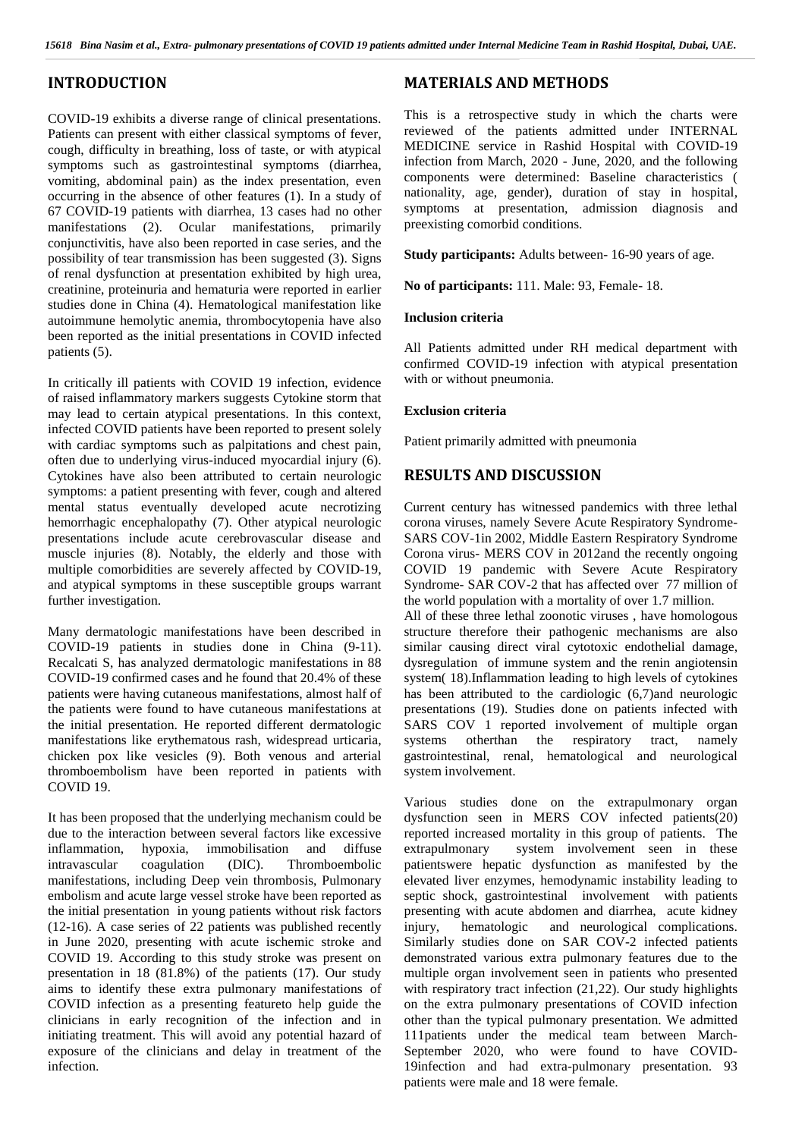## **INTRODUCTION**

COVID-19 exhibits a diverse range of clinical presentations. Patients can present with either classical symptoms of fever, cough, difficulty in breathing, loss of taste, or with atypical symptoms such as gastrointestinal symptoms (diarrhea, vomiting, abdominal pain) as the index presentation, even occurring in the absence of other features (1). In a study of 67 COVID-19 patients with diarrhea, 13 cases had no other manifestations (2). Ocular manifestations, primarily conjunctivitis, have also been reported in case series, and the possibility of tear transmission has been suggested (3). Signs of renal dysfunction at presentation exhibited by high urea, creatinine, proteinuria and hematuria were reported in earlier studies done in China (4). Hematological manifestation like autoimmune hemolytic anemia, thrombocytopenia have also been reported as the initial presentations in COVID infected patients (5).

In critically ill patients with COVID 19 infection, evidence of raised inflammatory markers suggests Cytokine storm that may lead to certain atypical presentations. In this context, infected COVID patients have been reported to present solely with cardiac symptoms such as palpitations and chest pain, often due to underlying virus-induced myocardial injury (6). Cytokines have also been attributed to certain neurologic symptoms: a patient presenting with fever, cough and altered mental status eventually developed acute necrotizing hemorrhagic encephalopathy (7). Other atypical neurologic presentations include acute cerebrovascular disease and muscle injuries (8). Notably, the elderly and those with multiple comorbidities are severely affected by COVID-19, and atypical symptoms in these susceptible groups warrant further investigation.

Many dermatologic manifestations have been described in COVID-19 patients in studies done in China (9-11). Recalcati S, has analyzed dermatologic manifestations in 88 COVID-19 confirmed cases and he found that 20.4% of these patients were having cutaneous manifestations, almost half of the patients were found to have cutaneous manifestations at the initial presentation. He reported different dermatologic manifestations like erythematous rash, widespread urticaria, chicken pox like vesicles (9). Both venous and arterial thromboembolism have been reported in patients with COVID 19.

It has been proposed that the underlying mechanism could be due to the interaction between several factors like excessive inflammation, hypoxia, immobilisation and diffuse intravascular coagulation (DIC). Thromboembolic manifestations, including Deep vein thrombosis, Pulmonary embolism and acute large vessel stroke have been reported as the initial presentation in young patients without risk factors (12-16). A case series of 22 patients was published recently in June 2020, presenting with acute ischemic stroke and COVID 19. According to this study stroke was present on presentation in 18 (81.8%) of the patients (17). Our study aims to identify these extra pulmonary manifestations of COVID infection as a presenting featureto help guide the clinicians in early recognition of the infection and in initiating treatment. This will avoid any potential hazard of exposure of the clinicians and delay in treatment of the infection.

## **MATERIALS AND METHODS**

This is a retrospective study in which the charts were reviewed of the patients admitted under INTERNAL MEDICINE service in Rashid Hospital with COVID-19 infection from March, 2020 - June, 2020, and the following components were determined: Baseline characteristics ( nationality, age, gender), duration of stay in hospital, symptoms at presentation, admission diagnosis and preexisting comorbid conditions.

**Study participants:** Adults between- 16-90 years of age.

**No of participants:** 111. Male: 93, Female- 18.

#### **Inclusion criteria**

All Patients admitted under RH medical department with confirmed COVID-19 infection with atypical presentation with or without pneumonia.

### **Exclusion criteria**

Patient primarily admitted with pneumonia

## **RESULTS AND DISCUSSION**

Current century has witnessed pandemics with three lethal corona viruses, namely Severe Acute Respiratory Syndrome- SARS COV-1in 2002, Middle Eastern Respiratory Syndrome Corona virus- MERS COV in 2012and the recently ongoing COVID 19 pandemic with Severe Acute Respiratory Syndrome- SAR COV-2 that has affected over 77 million of the world population with a mortality of over 1.7 million. All of these three lethal zoonotic viruses , have homologous structure therefore their pathogenic mechanisms are also similar causing direct viral cytotoxic endothelial damage, dysregulation of immune system and the renin angiotensin system( 18).Inflammation leading to high levels of cytokines has been attributed to the cardiologic (6,7)and neurologic presentations (19). Studies done on patients infected with SARS COV 1 reported involvement of multiple organ otherthan the respiratory tract, namely gastrointestinal, renal, hematological and neurological system involvement.

Various studies done on the extrapulmonary organ dysfunction seen in MERS COV infected patients(20) reported increased mortality in this group of patients. The system involvement seen in these patientswere hepatic dysfunction as manifested by the elevated liver enzymes, hemodynamic instability leading to septic shock, gastrointestinal involvement with patients presenting with acute abdomen and diarrhea, acute kidney hematologic and neurological complications. Similarly studies done on SAR COV-2 infected patients demonstrated various extra pulmonary features due to the multiple organ involvement seen in patients who presented with respiratory tract infection (21,22). Our study highlights on the extra pulmonary presentations of COVID infection other than the typical pulmonary presentation. We admitted 111patients under the medical team between March- September 2020, who were found to have COVID- 19infection and had extra-pulmonary presentation. 93 patients were male and 18 were female.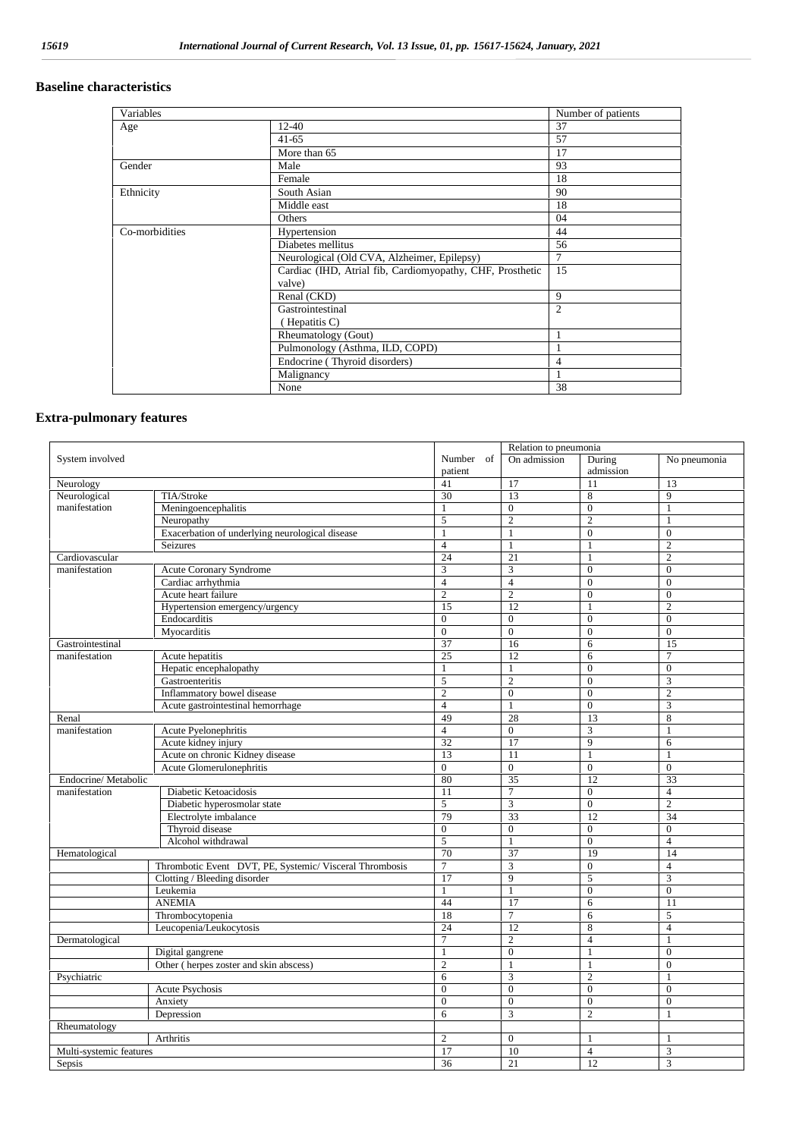## **Baseline characteristics**

| Variables      |                                                           | Number of patients |
|----------------|-----------------------------------------------------------|--------------------|
| Age            | $12 - 40$                                                 | 37                 |
|                | $41 - 65$                                                 | 57                 |
|                | More than 65                                              | 17                 |
| Gender         | Male                                                      | 93                 |
|                | Female                                                    | 18                 |
| Ethnicity      | South Asian                                               | 90                 |
|                | Middle east                                               | 18                 |
|                | Others                                                    | 04                 |
| Co-morbidities | Hypertension                                              | 44                 |
|                | Diabetes mellitus                                         | 56                 |
|                | Neurological (Old CVA, Alzheimer, Epilepsy)               | $\overline{7}$     |
|                | Cardiac (IHD, Atrial fib, Cardiomyopathy, CHF, Prosthetic | 15                 |
|                | valve)                                                    |                    |
|                | Renal (CKD)                                               | 9                  |
|                | Gastrointestinal                                          | $\overline{2}$     |
|                | (Hepatitis C)                                             |                    |
|                | Rheumatology (Gout)                                       |                    |
|                | Pulmonology (Asthma, ILD, COPD)                           | -1                 |
|                | Endocrine (Thyroid disorders)                             | 4                  |
|                | Malignancy                                                |                    |
|                | None                                                      | 38                 |

## **Extra-pulmonary features**

| System involved         |                                                         |                  | Relation to pneumonia   |                  |                         |  |
|-------------------------|---------------------------------------------------------|------------------|-------------------------|------------------|-------------------------|--|
|                         |                                                         | Number of        | On admission            | During           | No pneumonia            |  |
|                         |                                                         | patient          |                         | admission        |                         |  |
| Neurology               |                                                         | 41               | 17                      | 11               | 13                      |  |
| Neurological            | TIA/Stroke                                              | 30               | 13                      | 8                | $\mathbf{Q}$            |  |
| manifestation           | Meningoencephalitis                                     | $\mathbf{1}$     | $\boldsymbol{0}$        | $\overline{0}$   | $\mathbf{1}$            |  |
|                         | Neuropathy                                              | 5                | $\overline{c}$          | $\overline{2}$   | $\mathbf{1}$            |  |
|                         | Exacerbation of underlying neurological disease         | 1                | $\mathbf{1}$            | $\overline{0}$   | $\theta$                |  |
|                         | Seizures                                                | $\overline{4}$   | $\mathbf{1}$            | $\mathbf{1}$     | $\overline{2}$          |  |
| Cardiovascular          |                                                         | 24               | 21                      | $\mathbf{1}$     | $\overline{2}$          |  |
| manifestation           | <b>Acute Coronary Syndrome</b>                          | 3                | 3                       | $\mathbf{0}$     | $\mathbf{0}$            |  |
|                         | Cardiac arrhythmia                                      | $\overline{4}$   | $\overline{4}$          | $\overline{0}$   | $\mathbf{0}$            |  |
|                         | Acute heart failure                                     | $\boldsymbol{2}$ | $\overline{c}$          | $\boldsymbol{0}$ | $\mathbf{0}$            |  |
|                         | Hypertension emergency/urgency                          | 15               | 12                      | $\mathbf{1}$     | $\overline{c}$          |  |
|                         | Endocarditis                                            | $\mathbf{0}$     | $\mathbf{0}$            | $\Omega$         | $\Omega$                |  |
|                         | Mvocarditis                                             | $\overline{0}$   | $\overline{0}$          | $\mathbf{0}$     | $\mathbf{0}$            |  |
| Gastrointestinal        |                                                         | 37               | 16                      | 6                | 15                      |  |
| manifestation           | Acute hepatitis                                         | 25               | 12                      | 6                | $\overline{7}$          |  |
|                         | Hepatic encephalopathy                                  | 1                | $\mathbf{1}$            | $\mathbf{0}$     | $\theta$                |  |
|                         | Gastroenteritis                                         | 5                | $\overline{2}$          | $\overline{0}$   | $\overline{\mathbf{3}}$ |  |
|                         | Inflammatory bowel disease                              | $\overline{c}$   | $\boldsymbol{0}$        | $\overline{0}$   | $\overline{c}$          |  |
|                         | Acute gastrointestinal hemorrhage                       | $\overline{4}$   | $\mathbf{1}$            | $\theta$         | 3                       |  |
| Renal                   |                                                         | 49               | 28                      | 13               | 8                       |  |
| manifestation           | Acute Pyelonephritis                                    | $\overline{4}$   | $\mathbf{0}$            | 3                | $\mathbf{1}$            |  |
|                         | Acute kidney injury                                     | 32               | 17                      | $\overline{9}$   | 6                       |  |
|                         | Acute on chronic Kidney disease                         | 13               | 11                      | $\mathbf{1}$     | 1                       |  |
|                         | Acute Glomerulonephritis                                | $\overline{0}$   | $\overline{0}$          | $\overline{0}$   | $\mathbf{0}$            |  |
| Endocrine/Metabolic     |                                                         | 80               | $\overline{35}$         | 12               | 33                      |  |
| manifestation           | Diabetic Ketoacidosis                                   | 11               | $\overline{7}$          | $\theta$         | $\overline{4}$          |  |
|                         | Diabetic hyperosmolar state                             | 5                | 3                       | $\overline{0}$   | $\overline{c}$          |  |
|                         | Electrolyte imbalance                                   | 79               | 33                      | 12               | 34                      |  |
|                         | Thyroid disease                                         | $\mathbf{0}$     | $\mathbf{0}$            | $\mathbf{0}$     | $\mathbf{0}$            |  |
| Alcohol withdrawal      |                                                         | 5                | $\mathbf{1}$            | $\overline{0}$   | $\overline{4}$          |  |
| Hematological           |                                                         | 70               | 37                      | 19               | 14                      |  |
|                         | Thrombotic Event DVT, PE, Systemic/ Visceral Thrombosis | $\overline{7}$   | $\overline{\mathbf{3}}$ | $\overline{0}$   | $\overline{4}$          |  |
|                         | Clotting / Bleeding disorder                            | 17               | 9                       | 5                | 3                       |  |
|                         | Leukemia                                                | $\mathbf{1}$     | $\mathbf{1}$            | $\overline{0}$   | $\Omega$                |  |
|                         | <b>ANEMIA</b>                                           | 44               | 17                      | 6                | 11                      |  |
|                         | Thrombocytopenia                                        | 18               | $\overline{7}$          | 6                | 5                       |  |
|                         | Leucopenia/Leukocytosis                                 | 24               | 12                      | 8                | $\overline{4}$          |  |
| Dermatological          |                                                         | 7                | $\sqrt{2}$              | $\overline{4}$   | 1                       |  |
|                         | Digital gangrene                                        | 1                | $\boldsymbol{0}$        | $\mathbf{1}$     | $\mathbf{0}$            |  |
|                         | Other (herpes zoster and skin abscess)                  | $\overline{c}$   | $\mathbf{1}$            | 1                | $\mathbf{0}$            |  |
| Psychiatric             |                                                         | 6                | 3                       | $\mathbf{2}$     | 1                       |  |
|                         | Acute Psychosis                                         | $\mathbf{0}$     | $\boldsymbol{0}$        | $\mathbf{0}$     | $\theta$                |  |
|                         | Anxiety                                                 | $\theta$         | $\overline{0}$          | $\theta$         | $\theta$                |  |
|                         | Depression                                              | 6                | 3                       | $\overline{2}$   | $\mathbf{1}$            |  |
| Rheumatology            |                                                         |                  |                         |                  |                         |  |
|                         | Arthritis                                               | $\overline{c}$   | $\mathbf{0}$            | 1                | 1                       |  |
| Multi-systemic features |                                                         | 17               | 10                      | $\overline{4}$   | 3                       |  |
| Sepsis                  |                                                         | 36               | 21                      | 12               | 3                       |  |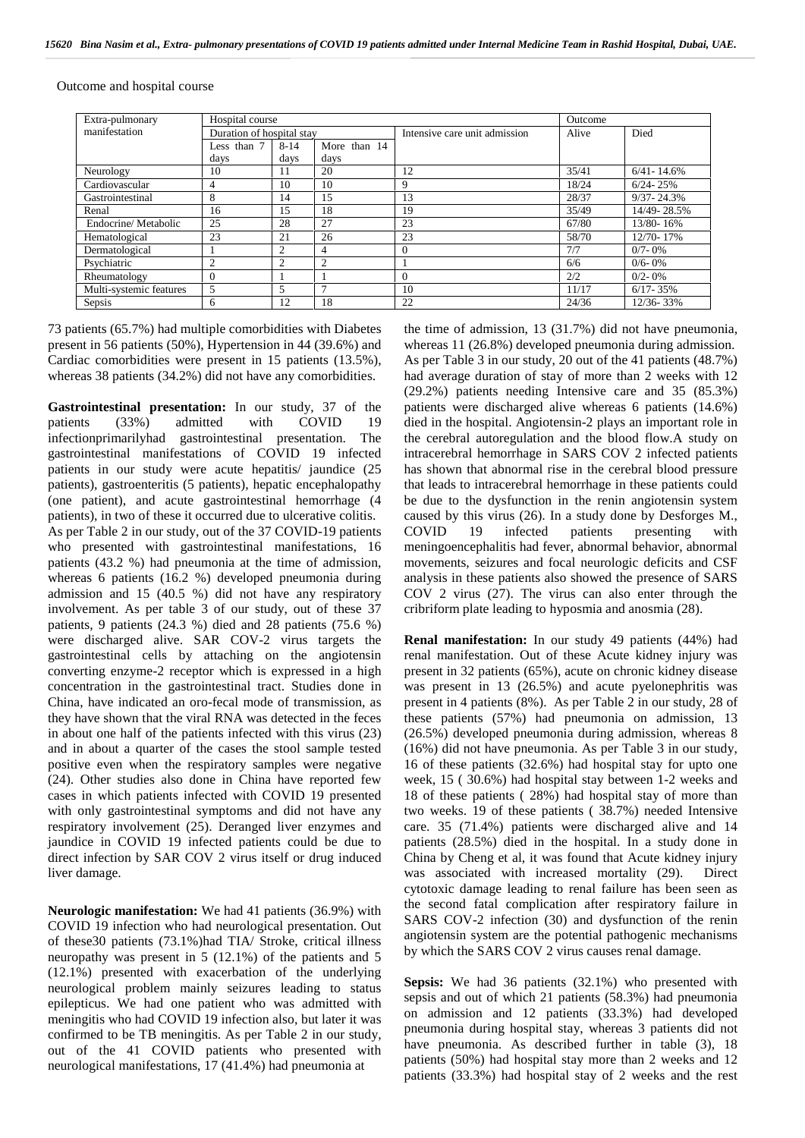| Extra-pulmonary         | Hospital course           |                |                | Outcome                       |       |                |
|-------------------------|---------------------------|----------------|----------------|-------------------------------|-------|----------------|
| manifestation           | Duration of hospital stay |                |                | Intensive care unit admission | Alive | Died           |
|                         | Less than 7               | $8 - 14$       | More than 14   |                               |       |                |
|                         | days                      | days           | days           |                               |       |                |
| Neurology               | 10                        | 11             | 20             | 12                            | 35/41 | $6/41 - 14.6%$ |
| Cardiovascular          | 4                         | 10             | 10             | 9                             | 18/24 | $6/24 - 25%$   |
| Gastrointestinal        | 8                         | 14             | 15             | 13                            | 28/37 | $9/37 - 24.3%$ |
| Renal                   | 16                        | 15             | 18             | 19                            | 35/49 | 14/49-28.5%    |
| Endocrine/Metabolic     | 25                        | 28             | 27             | 23                            | 67/80 | 13/80-16%      |
| Hematological           | 23                        | 21             | 26             | 23                            | 58/70 | 12/70-17%      |
| Dermatological          |                           | 2              | 4              | $\overline{0}$                | 7/7   | $0/7 - 0\%$    |
| Psychiatric             | 2                         | $\overline{2}$ | $\overline{2}$ |                               | 6/6   | $0/6 - 0\%$    |
| Rheumatology            | $\theta$                  |                |                | $\Omega$                      | 2/2   | $0/2 - 0\%$    |
| Multi-systemic features | 5                         | 5              | 7              | 10                            | 11/17 | $6/17 - 35%$   |
| Sepsis                  | 6                         | 12             | 18             | 22                            | 24/36 | 12/36-33%      |

Outcome and hospital course

73 patients (65.7%) had multiple comorbidities with Diabetes present in 56 patients (50%), Hypertension in 44 (39.6%) and Cardiac comorbidities were present in 15 patients (13.5%), whereas 38 patients (34.2%) did not have any comorbidities.

**Gastrointestinal presentation:** In our study, 37 of the patients (33%) admitted with COVID 19 infectionprimarilyhad gastrointestinal presentation. The gastrointestinal manifestations of COVID 19 infected patients in our study were acute hepatitis/ jaundice (25 patients), gastroenteritis (5 patients), hepatic encephalopathy (one patient), and acute gastrointestinal hemorrhage (4 patients), in two of these it occurred due to ulcerative colitis. As per Table 2 in our study, out of the 37 COVID-19 patients COVID who presented with gastrointestinal manifestations, 16 patients (43.2 %) had pneumonia at the time of admission, whereas 6 patients (16.2 %) developed pneumonia during admission and 15 (40.5 %) did not have any respiratory involvement. As per table 3 of our study, out of these 37 patients, 9 patients (24.3 %) died and 28 patients (75.6 %) were discharged alive. SAR COV-2 virus targets the gastrointestinal cells by attaching on the angiotensin converting enzyme-2 receptor which is expressed in a high concentration in the gastrointestinal tract. Studies done in China, have indicated an oro-fecal mode of transmission, as they have shown that the viral RNA was detected in the feces in about one half of the patients infected with this virus (23) and in about a quarter of the cases the stool sample tested positive even when the respiratory samples were negative (24). Other studies also done in China have reported few cases in which patients infected with COVID 19 presented with only gastrointestinal symptoms and did not have any respiratory involvement (25). Deranged liver enzymes and jaundice in COVID 19 infected patients could be due to direct infection by SAR COV 2 virus itself or drug induced liver damage.

**Neurologic manifestation:** We had 41 patients (36.9%) with COVID 19 infection who had neurological presentation. Out of these30 patients (73.1%)had TIA/ Stroke, critical illness neuropathy was present in 5 (12.1%) of the patients and 5 (12.1%) presented with exacerbation of the underlying neurological problem mainly seizures leading to status epilepticus. We had one patient who was admitted with meningitis who had COVID 19 infection also, but later it was confirmed to be TB meningitis. As per Table 2 in our study, out of the 41 COVID patients who presented with neurological manifestations, 17 (41.4%) had pneumonia at

the time of admission, 13 (31.7%) did not have pneumonia, whereas 11 (26.8%) developed pneumonia during admission. As per Table 3 in our study, 20 out of the 41 patients (48.7%) had average duration of stay of more than 2 weeks with 12 (29.2%) patients needing Intensive care and 35 (85.3%) patients were discharged alive whereas 6 patients (14.6%) died in the hospital. Angiotensin-2 plays an important role in the cerebral autoregulation and the blood flow.A study on intracerebral hemorrhage in SARS COV 2 infected patients has shown that abnormal rise in the cerebral blood pressure that leads to intracerebral hemorrhage in these patients could be due to the dysfunction in the renin angiotensin system caused by this virus (26). In a study done by Desforges M., 19 infected patients presenting with meningoencephalitis had fever, abnormal behavior, abnormal movements, seizures and focal neurologic deficits and CSF analysis in these patients also showed the presence of SARS COV 2 virus (27). The virus can also enter through the cribriform plate leading to hyposmia and anosmia (28).

**Renal manifestation:** In our study 49 patients (44%) had renal manifestation. Out of these Acute kidney injury was present in 32 patients (65%), acute on chronic kidney disease was present in 13 (26.5%) and acute pyelonephritis was present in 4 patients (8%). As per Table 2 in our study, 28 of these patients (57%) had pneumonia on admission, 13 (26.5%) developed pneumonia during admission, whereas 8 (16%) did not have pneumonia. As per Table 3 in our study, 16 of these patients (32.6%) had hospital stay for upto one week, 15 ( 30.6%) had hospital stay between 1-2 weeks and 18 of these patients ( 28%) had hospital stay of more than two weeks. 19 of these patients ( 38.7%) needed Intensive care. 35 (71.4%) patients were discharged alive and 14 patients (28.5%) died in the hospital. In a study done in China by Cheng et al, it was found that Acute kidney injury was associated with increased mortality (29). Direct cytotoxic damage leading to renal failure has been seen as the second fatal complication after respiratory failure in SARS COV-2 infection (30) and dysfunction of the renin angiotensin system are the potential pathogenic mechanisms by which the SARS COV 2 virus causes renal damage.

**Sepsis:** We had 36 patients (32.1%) who presented with sepsis and out of which 21 patients (58.3%) had pneumonia on admission and 12 patients (33.3%) had developed pneumonia during hospital stay, whereas 3 patients did not have pneumonia. As described further in table (3), 18 patients (50%) had hospital stay more than 2 weeks and 12 patients (33.3%) had hospital stay of 2 weeks and the rest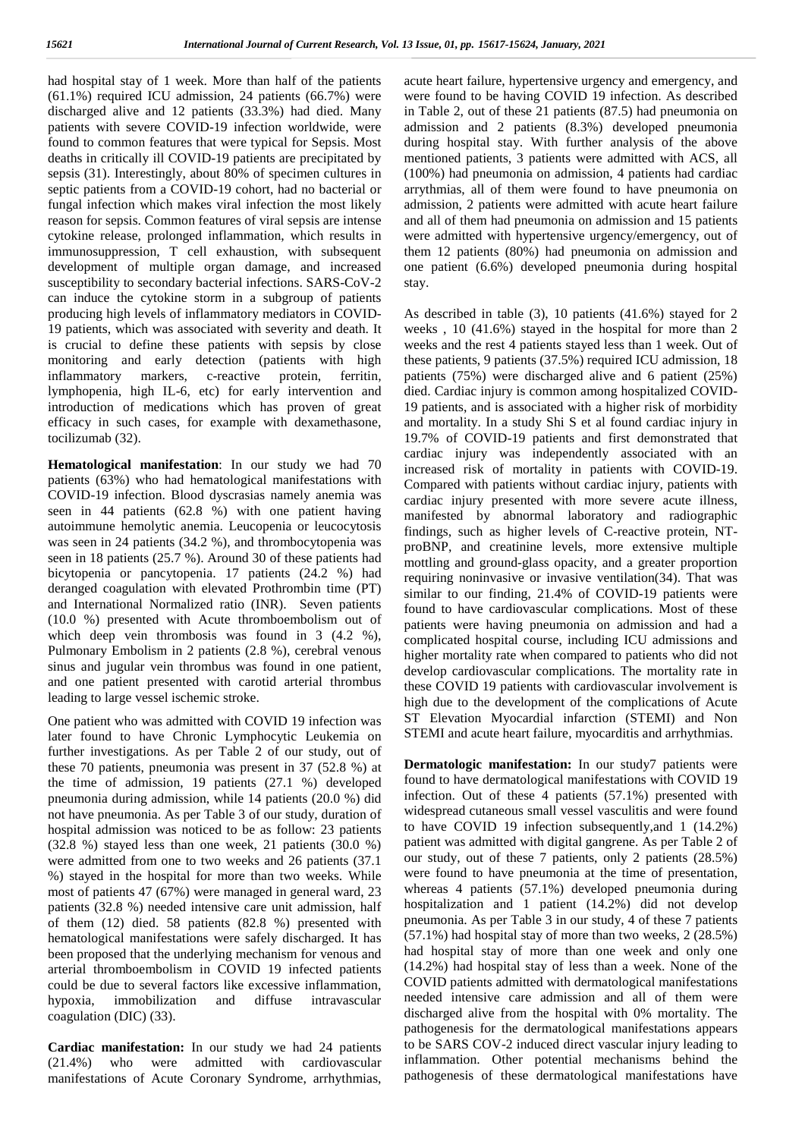had hospital stay of 1 week. More than half of the patients (61.1%) required ICU admission, 24 patients (66.7%) were discharged alive and 12 patients (33.3%) had died. Many patients with severe COVID-19 infection worldwide, were found to common features that were typical for Sepsis. Most deaths in critically ill COVID-19 patients are precipitated by sepsis (31). Interestingly, about 80% of specimen cultures in septic patients from a COVID-19 cohort, had no bacterial or fungal infection which makes viral infection the most likely reason for sepsis. Common features of viral sepsis are intense cytokine release, prolonged inflammation, which results in immunosuppression, T cell exhaustion, with subsequent development of multiple organ damage, and increased susceptibility to secondary bacterial infections. SARS-CoV-2 can induce the cytokine storm in a subgroup of patients producing high levels of inflammatory mediators in COVID- 19 patients, which was associated with severity and death. It is crucial to define these patients with sepsis by close monitoring and early detection (patients with high inflammatory markers, c-reactive protein, ferritin, lymphopenia, high IL-6, etc) for early intervention and introduction of medications which has proven of great efficacy in such cases, for example with dexamethasone, tocilizumab (32).

**Hematological manifestation**: In our study we had 70 patients (63%) who had hematological manifestations with COVID-19 infection. Blood dyscrasias namely anemia was seen in 44 patients (62.8 %) with one patient having autoimmune hemolytic anemia. Leucopenia or leucocytosis was seen in 24 patients (34.2 %), and thrombocytopenia was seen in 18 patients (25.7 %). Around 30 of these patients had bicytopenia or pancytopenia. 17 patients (24.2 %) had deranged coagulation with elevated Prothrombin time (PT) and International Normalized ratio (INR). Seven patients (10.0 %) presented with Acute thromboembolism out of which deep vein thrombosis was found in 3 (4.2 %), Pulmonary Embolism in 2 patients (2.8 %), cerebral venous sinus and jugular vein thrombus was found in one patient, and one patient presented with carotid arterial thrombus leading to large vessel ischemic stroke.

One patient who was admitted with COVID 19 infection was later found to have Chronic Lymphocytic Leukemia on further investigations. As per Table 2 of our study, out of these 70 patients, pneumonia was present in 37 (52.8 %) at the time of admission, 19 patients (27.1 %) developed pneumonia during admission, while 14 patients (20.0 %) did not have pneumonia. As per Table 3 of our study, duration of hospital admission was noticed to be as follow: 23 patients (32.8 %) stayed less than one week, 21 patients (30.0 %) were admitted from one to two weeks and 26 patients (37.1 %) stayed in the hospital for more than two weeks. While most of patients 47 (67%) were managed in general ward, 23 patients (32.8 %) needed intensive care unit admission, half of them (12) died. 58 patients (82.8 %) presented with hematological manifestations were safely discharged. It has been proposed that the underlying mechanism for venous and arterial thromboembolism in COVID 19 infected patients could be due to several factors like excessive inflammation, hypoxia, immobilization and diffuse intravascular coagulation (DIC) (33).

**Cardiac manifestation:** In our study we had 24 patients (21.4%) who were admitted with cardiovascular manifestations of Acute Coronary Syndrome, arrhythmias,

acute heart failure, hypertensive urgency and emergency, and were found to be having COVID 19 infection. As described in Table 2, out of these 21 patients (87.5) had pneumonia on admission and 2 patients (8.3%) developed pneumonia during hospital stay. With further analysis of the above mentioned patients, 3 patients were admitted with ACS, all (100%) had pneumonia on admission, 4 patients had cardiac arrythmias, all of them were found to have pneumonia on admission, 2 patients were admitted with acute heart failure and all of them had pneumonia on admission and 15 patients were admitted with hypertensive urgency/emergency, out of them 12 patients (80%) had pneumonia on admission and one patient (6.6%) developed pneumonia during hospital stay.

As described in table (3), 10 patients (41.6%) stayed for 2 weeks , 10 (41.6%) stayed in the hospital for more than 2 weeks and the rest 4 patients stayed less than 1 week. Out of these patients, 9 patients (37.5%) required ICU admission, 18 patients (75%) were discharged alive and 6 patient (25%) died. Cardiac injury is common among hospitalized COVID- 19 patients, and is associated with a higher risk of morbidity and mortality. In a study Shi S et al found cardiac injury in 19.7% of COVID-19 patients and first demonstrated that cardiac injury was independently associated with an increased risk of mortality in patients with COVID-19. Compared with patients without cardiac injury, patients with cardiac injury presented with more severe acute illness, manifested by abnormal laboratory and radiographic findings, such as higher levels of C-reactive protein, NT proBNP, and creatinine levels, more extensive multiple mottling and ground-glass opacity, and a greater proportion requiring noninvasive or invasive ventilation(34). That was similar to our finding, 21.4% of COVID-19 patients were found to have cardiovascular complications. Most of these patients were having pneumonia on admission and had a complicated hospital course, including ICU admissions and higher mortality rate when compared to patients who did not develop cardiovascular complications. The mortality rate in these COVID 19 patients with cardiovascular involvement is high due to the development of the complications of Acute ST Elevation Myocardial infarction (STEMI) and Non STEMI and acute heart failure, myocarditis and arrhythmias.

**Dermatologic manifestation:** In our study7 patients were found to have dermatological manifestations with COVID 19 infection. Out of these 4 patients (57.1%) presented with widespread cutaneous small vessel vasculitis and were found to have COVID 19 infection subsequently,and 1 (14.2%) patient was admitted with digital gangrene. As per Table 2 of our study, out of these 7 patients, only 2 patients (28.5%) were found to have pneumonia at the time of presentation, whereas 4 patients (57.1%) developed pneumonia during hospitalization and 1 patient (14.2%) did not develop pneumonia. As per Table 3 in our study, 4 of these 7 patients (57.1%) had hospital stay of more than two weeks, 2 (28.5%) had hospital stay of more than one week and only one (14.2%) had hospital stay of less than a week. None of the COVID patients admitted with dermatological manifestations needed intensive care admission and all of them were discharged alive from the hospital with 0% mortality. The pathogenesis for the dermatological manifestations appears to be SARS COV-2 induced direct vascular injury leading to inflammation. Other potential mechanisms behind the pathogenesis of these dermatological manifestations have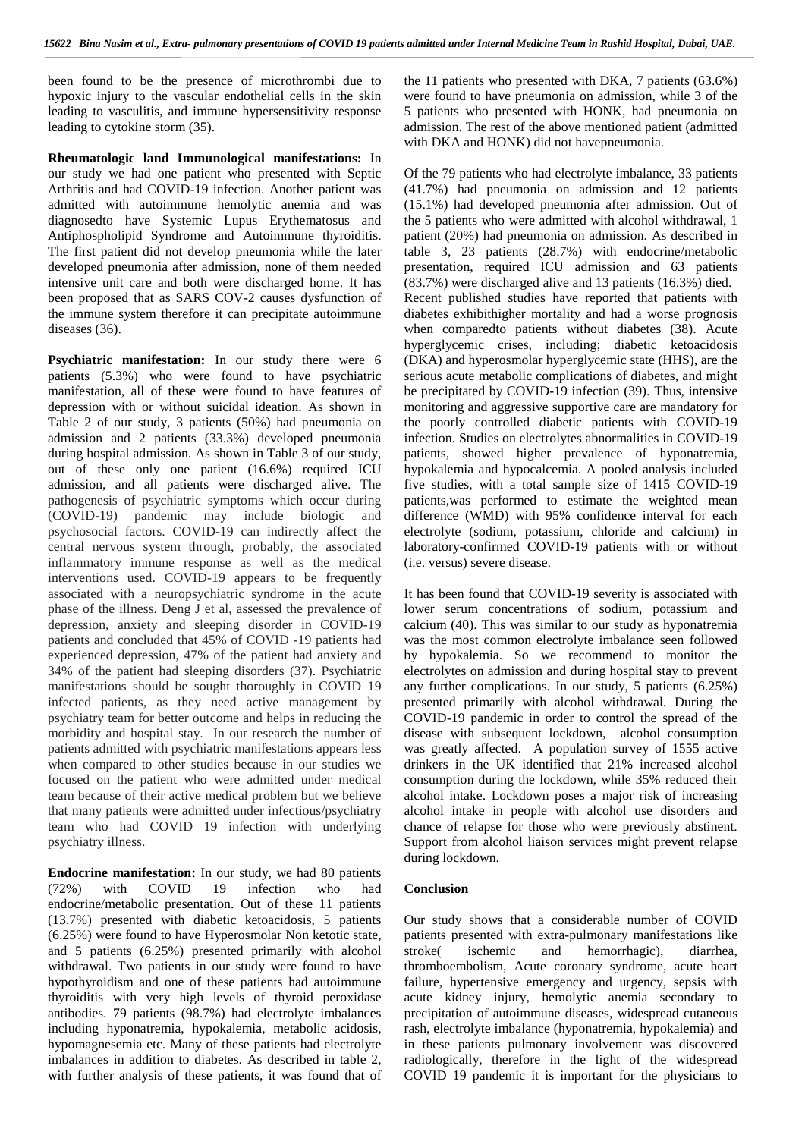been found to be the presence of microthrombi due to hypoxic injury to the vascular endothelial cells in the skin leading to vasculitis, and immune hypersensitivity response leading to cytokine storm (35).

**Rheumatologic land Immunological manifestations:** In our study we had one patient who presented with Septic Arthritis and had COVID-19 infection. Another patient was admitted with autoimmune hemolytic anemia and was diagnosedto have Systemic Lupus Erythematosus and Antiphospholipid Syndrome and Autoimmune thyroiditis. The first patient did not develop pneumonia while the later developed pneumonia after admission, none of them needed intensive unit care and both were discharged home. It has been proposed that as SARS COV-2 causes dysfunction of the immune system therefore it can precipitate autoimmune diseases (36).

**Psychiatric manifestation:** In our study there were 6 patients (5.3%) who were found to have psychiatric manifestation, all of these were found to have features of depression with or without suicidal ideation. As shown in Table 2 of our study, 3 patients (50%) had pneumonia on admission and 2 patients (33.3%) developed pneumonia during hospital admission. As shown in Table 3 of our study, out of these only one patient (16.6%) required ICU admission, and all patients were discharged alive. The pathogenesis of psychiatric symptoms which occur during (COVID-19) pandemic may include biologic and psychosocial factors. COVID-19 can indirectly affect the central nervous system through, probably, the associated inflammatory immune response as well as the medical interventions used. COVID-19 appears to be frequently associated with a neuropsychiatric syndrome in the acute phase of the illness. Deng J et al, assessed the prevalence of depression, anxiety and sleeping disorder in COVID-19 patients and concluded that 45% of COVID -19 patients had experienced depression, 47% of the patient had anxiety and 34% of the patient had sleeping disorders (37). Psychiatric manifestations should be sought thoroughly in COVID 19 infected patients, as they need active management by psychiatry team for better outcome and helps in reducing the morbidity and hospital stay. In our research the number of patients admitted with psychiatric manifestations appears less when compared to other studies because in our studies we focused on the patient who were admitted under medical team because of their active medical problem but we believe that many patients were admitted under infectious/psychiatry team who had COVID 19 infection with underlying psychiatry illness.

**Endocrine manifestation:** In our study, we had 80 patients (72%) with COVID 19 infection who had with COVID 19 infection who had endocrine/metabolic presentation. Out of these 11 patients (13.7%) presented with diabetic ketoacidosis, 5 patients (6.25%) were found to have Hyperosmolar Non ketotic state, and 5 patients (6.25%) presented primarily with alcohol withdrawal. Two patients in our study were found to have hypothyroidism and one of these patients had autoimmune thyroiditis with very high levels of thyroid peroxidase antibodies. 79 patients (98.7%) had electrolyte imbalances including hyponatremia, hypokalemia, metabolic acidosis, hypomagnesemia etc. Many of these patients had electrolyte imbalances in addition to diabetes. As described in table 2, with further analysis of these patients, it was found that of

the 11 patients who presented with DKA, 7 patients (63.6%) were found to have pneumonia on admission, while 3 of the 5 patients who presented with HONK, had pneumonia on admission. The rest of the above mentioned patient (admitted with DKA and HONK) did not havepneumonia.

Of the 79 patients who had electrolyte imbalance, 33 patients (41.7%) had pneumonia on admission and 12 patients (15.1%) had developed pneumonia after admission. Out of the 5 patients who were admitted with alcohol withdrawal, 1 patient (20%) had pneumonia on admission. As described in table 3, 23 patients (28.7%) with endocrine/metabolic presentation, required ICU admission and 63 patients (83.7%) were discharged alive and 13 patients (16.3%) died. Recent published studies have reported that patients with diabetes exhibithigher mortality and had a worse prognosis when comparedto patients without diabetes (38). Acute hyperglycemic crises, including; diabetic ketoacidosis (DKA) and hyperosmolar hyperglycemic state (HHS), are the serious acute metabolic complications of diabetes, and might be precipitated by COVID-19 infection (39). Thus, intensive monitoring and aggressive supportive care are mandatory for the poorly controlled diabetic patients with COVID-19 infection. Studies on electrolytes abnormalities in COVID-19 patients, showed higher prevalence of hyponatremia, hypokalemia and hypocalcemia. A pooled analysis included five studies, with a total sample size of 1415 COVID-19 patients,was performed to estimate the weighted mean difference (WMD) with 95% confidence interval for each electrolyte (sodium, potassium, chloride and calcium) in laboratory-confirmed COVID-19 patients with or without (i.e. versus) severe disease.

It has been found that COVID-19 severity is associated with lower serum concentrations of sodium, potassium and calcium (40). This was similar to our study as hyponatremia was the most common electrolyte imbalance seen followed by hypokalemia. So we recommend to monitor the electrolytes on admission and during hospital stay to prevent any further complications. In our study, 5 patients (6.25%) presented primarily with alcohol withdrawal. During the COVID-19 pandemic in order to control the spread of the disease with subsequent lockdown, alcohol consumption was greatly affected. A population survey of 1555 active drinkers in the UK identified that 21% increased alcohol consumption during the lockdown, while 35% reduced their alcohol intake. Lockdown poses a major risk of increasing alcohol intake in people with alcohol use disorders and chance of relapse for those who were previously abstinent. Support from alcohol liaison services might prevent relapse during lockdown.

### **Conclusion**

Our study shows that a considerable number of COVID patients presented with extra-pulmonary manifestations like ischemic and hemorrhagic), diarrhea, thromboembolism, Acute coronary syndrome, acute heart failure, hypertensive emergency and urgency, sepsis with acute kidney injury, hemolytic anemia secondary to precipitation of autoimmune diseases, widespread cutaneous rash, electrolyte imbalance (hyponatremia, hypokalemia) and in these patients pulmonary involvement was discovered radiologically, therefore in the light of the widespread COVID 19 pandemic it is important for the physicians to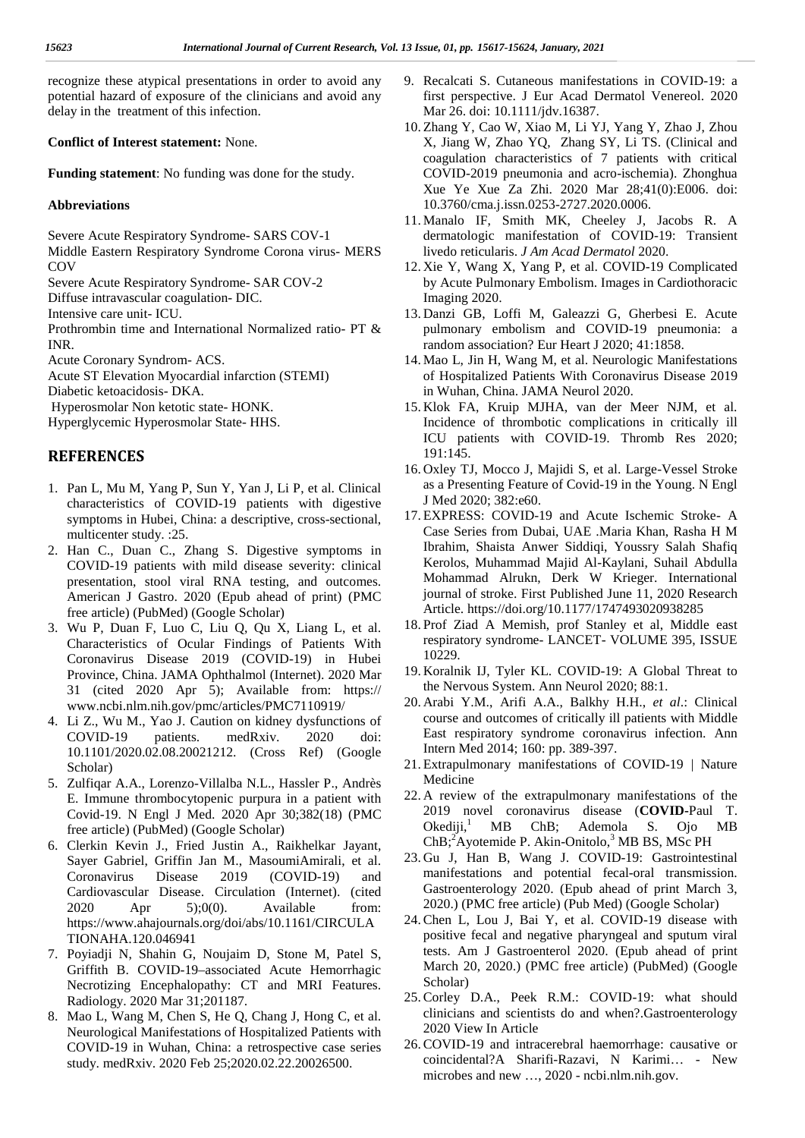recognize these atypical presentations in order to avoid any potential hazard of exposure of the clinicians and avoid any delay in the treatment of this infection.

**Conflict of Interest statement:** None.

**Funding statement**: No funding was done for the study.

## **Abbreviations**

Severe Acute Respiratory Syndrome- SARS COV-1

Middle Eastern Respiratory Syndrome Corona virus- MERS COV

Severe Acute Respiratory Syndrome- SAR COV-2

Diffuse intravascular coagulation- DIC.

Intensive care unit- ICU.

Prothrombin time and International Normalized ratio- PT & INR.

Acute Coronary Syndrom- ACS.

Acute ST Elevation Myocardial infarction (STEMI)

Diabetic ketoacidosis- DKA.

Hyperosmolar Non ketotic state- HONK.

Hyperglycemic Hyperosmolar State- HHS.

## **REFERENCES**

- 1. Pan L, Mu M, Yang P, Sun Y, Yan J, Li P, et al. Clinical characteristics of COVID-19 patients with digestive symptoms in Hubei, China: a descriptive, cross-sectional, multicenter study. :25.
- 2. Han C., Duan C., Zhang S. Digestive symptoms in COVID-19 patients with mild disease severity: clinical presentation, stool viral RNA testing, and outcomes. American J Gastro. 2020 (Epub ahead of print) (PMC free article) (PubMed) (Google Scholar)
- 3. Wu P, Duan F, Luo C, Liu Q, Qu X, Liang L, et al. Characteristics of Ocular Findings of Patients With Coronavirus Disease 2019 (COVID-19) in Hubei Province, China. JAMA Ophthalmol (Internet). 2020 Mar 31 (cited 2020 Apr 5); Available from: https:// www.ncbi.nlm.nih.gov/pmc/articles/PMC7110919/
- 4. Li Z., Wu M., Yao J. Caution on kidney dysfunctions of COVID-19 patients. medRxiv. 2020 doi: 10.1101/2020.02.08.20021212. (Cross Ref) (Google Scholar)
- 5. Zulfiqar A.A., Lorenzo-Villalba N.L., Hassler P., Andrès E. Immune thrombocytopenic purpura in a patient with Covid-19. N Engl J Med. 2020 Apr 30;382(18) (PMC free article) (PubMed) (Google Scholar)
- 6. Clerkin Kevin J., Fried Justin A., Raikhelkar Jayant, Sayer Gabriel, Griffin Jan M., MasoumiAmirali, et al. Coronavirus Disease 2019 (COVID-19) and Cardiovascular Disease. Circulation (Internet). (cited 2020 Apr 5);0(0). Available from: https://www.ahajournals.org/doi/abs/10.1161/CIRCULA TIONAHA.120.046941
- 7. Poyiadji N, Shahin G, Noujaim D, Stone M, Patel S, Griffith B. COVID-19–associated Acute Hemorrhagic Necrotizing Encephalopathy: CT and MRI Features. Radiology. 2020 Mar 31;201187.
- 8. Mao L, Wang M, Chen S, He Q, Chang J, Hong C, et al. Neurological Manifestations of Hospitalized Patients with COVID-19 in Wuhan, China: a retrospective case series study. medRxiv. 2020 Feb 25;2020.02.22.20026500.
- 9. Recalcati S. Cutaneous manifestations in COVID-19: a first perspective. J Eur Acad Dermatol Venereol. 2020 Mar 26. doi: 10.1111/jdv.16387.
- 10. Zhang Y, Cao W, Xiao M, Li YJ, Yang Y, Zhao J, Zhou X, Jiang W, Zhao YQ, Zhang SY, Li TS. (Clinical and coagulation characteristics of 7 patients with critical COVID-2019 pneumonia and acro-ischemia). Zhonghua Xue Ye Xue Za Zhi. 2020 Mar 28;41(0):E006. doi: 10.3760/cma.j.issn.0253-2727.2020.0006.
- 11. Manalo IF, Smith MK, Cheeley J, Jacobs R. A dermatologic manifestation of COVID-19: Transient livedo reticularis. *J Am Acad Dermatol* 2020.
- 12. Xie Y, Wang X, Yang P, et al. COVID-19 Complicated by Acute Pulmonary Embolism. Images in Cardiothoracic Imaging 2020.
- 13. Danzi GB, Loffi M, Galeazzi G, Gherbesi E. Acute pulmonary embolism and COVID-19 pneumonia: a random association? Eur Heart J 2020; 41:1858.
- 14. Mao L, Jin H, Wang M, et al. Neurologic Manifestations of Hospitalized Patients With Coronavirus Disease 2019 in Wuhan, China. JAMA Neurol 2020.
- 15. Klok FA, Kruip MJHA, van der Meer NJM, et al. Incidence of thrombotic complications in critically ill ICU patients with COVID-19. Thromb Res 2020; 191:145.
- 16. Oxley TJ, Mocco J, Majidi S, et al. Large-Vessel Stroke as a Presenting Feature of Covid-19 in the Young. N Engl J Med 2020; 382:e60.
- 17. EXPRESS: COVID-19 and Acute Ischemic Stroke- A Case Series from Dubai, UAE .Maria Khan, Rasha H M Ibrahim, Shaista Anwer Siddiqi, Youssry Salah Shafiq Kerolos, Muhammad Majid Al-Kaylani, Suhail Abdulla Mohammad Alrukn, Derk W Krieger. International journal of stroke. First Published June 11, 2020 Research Article. https://doi.org/10.1177/1747493020938285
- 18. Prof Ziad A Memish, prof Stanley et al, Middle east respiratory syndrome- LANCET- VOLUME 395, ISSUE 10229.
- 19. Koralnik IJ, Tyler KL. COVID-19: A Global Threat to the Nervous System. Ann Neurol 2020; 88:1.
- 20. Arabi Y.M., Arifi A.A., Balkhy H.H., *et al*.: Clinical course and outcomes of critically ill patients with Middle East respiratory syndrome coronavirus infection. Ann Intern Med 2014; 160: pp. 389-397.
- 21. Extrapulmonary manifestations of COVID-19 | Nature Medicine
- 22. A review of the extrapulmonary manifestations of the 2019 novel coronavirus disease (**COVID-**Paul T. Okediji,<sup>1</sup> MB ChB; Ademola S. Ojo MB ChB;<sup>2</sup>Ayotemide P. Akin-Onitolo,<sup>3</sup> MB BS, MSc PH
- 23. Gu J, Han B, Wang J. COVID-19: Gastrointestinal manifestations and potential fecal-oral transmission. Gastroenterology 2020. (Epub ahead of print March 3, 2020.) (PMC free article) (Pub Med) (Google Scholar)
- 24.Chen L, Lou J, Bai Y, et al. COVID-19 disease with positive fecal and negative pharyngeal and sputum viral tests. Am J Gastroenterol 2020. (Epub ahead of print March 20, 2020.) (PMC free article) (PubMed) (Google Scholar)
- 25.Corley D.A., Peek R.M.: COVID-19: what should clinicians and scientists do and when?.Gastroenterology 2020 View In Article
- 26.COVID-19 and intracerebral haemorrhage: causative or coincidental?A Sharifi-Razavi, N Karimi… - New microbes and new …, 2020 - ncbi.nlm.nih.gov.